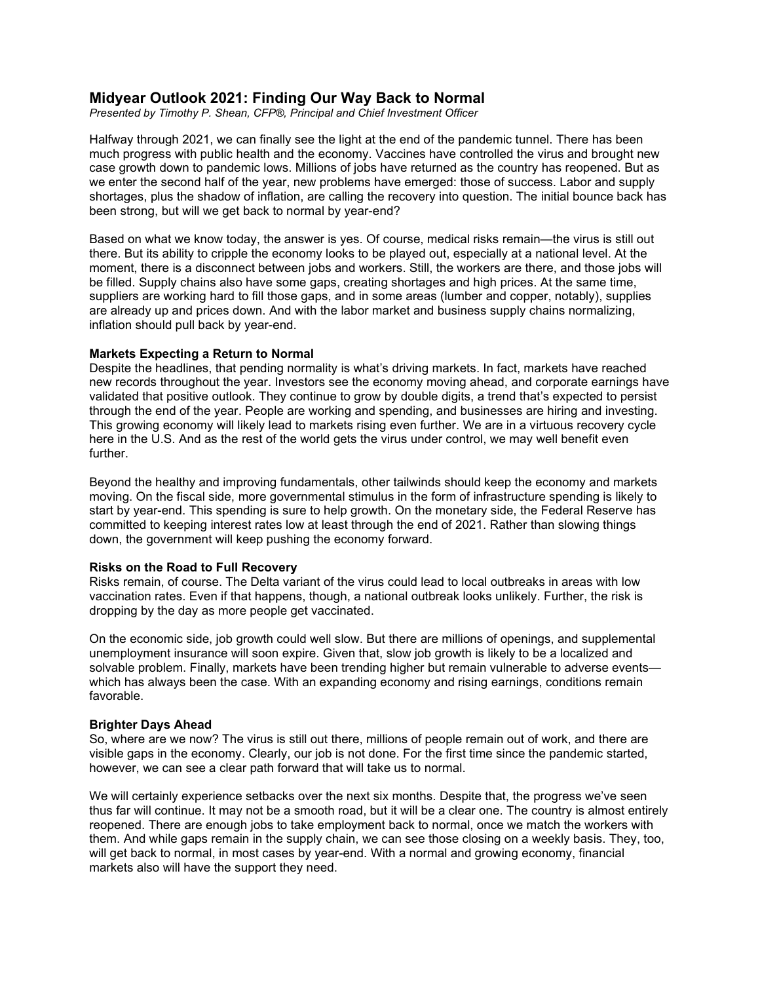# **Midyear Outlook 2021: Finding Our Way Back to Normal**

*Presented by Timothy P. Shean, CFP®, Principal and Chief Investment Officer*

Halfway through 2021, we can finally see the light at the end of the pandemic tunnel. There has been much progress with public health and the economy. Vaccines have controlled the virus and brought new case growth down to pandemic lows. Millions of jobs have returned as the country has reopened. But as we enter the second half of the year, new problems have emerged: those of success. Labor and supply shortages, plus the shadow of inflation, are calling the recovery into question. The initial bounce back has been strong, but will we get back to normal by year-end?

Based on what we know today, the answer is yes. Of course, medical risks remain—the virus is still out there. But its ability to cripple the economy looks to be played out, especially at a national level. At the moment, there is a disconnect between jobs and workers. Still, the workers are there, and those jobs will be filled. Supply chains also have some gaps, creating shortages and high prices. At the same time, suppliers are working hard to fill those gaps, and in some areas (lumber and copper, notably), supplies are already up and prices down. And with the labor market and business supply chains normalizing, inflation should pull back by year-end.

#### **Markets Expecting a Return to Normal**

Despite the headlines, that pending normality is what's driving markets. In fact, markets have reached new records throughout the year. Investors see the economy moving ahead, and corporate earnings have validated that positive outlook. They continue to grow by double digits, a trend that's expected to persist through the end of the year. People are working and spending, and businesses are hiring and investing. This growing economy will likely lead to markets rising even further. We are in a virtuous recovery cycle here in the U.S. And as the rest of the world gets the virus under control, we may well benefit even further.

Beyond the healthy and improving fundamentals, other tailwinds should keep the economy and markets moving. On the fiscal side, more governmental stimulus in the form of infrastructure spending is likely to start by year-end. This spending is sure to help growth. On the monetary side, the Federal Reserve has committed to keeping interest rates low at least through the end of 2021. Rather than slowing things down, the government will keep pushing the economy forward.

## **Risks on the Road to Full Recovery**

Risks remain, of course. The Delta variant of the virus could lead to local outbreaks in areas with low vaccination rates. Even if that happens, though, a national outbreak looks unlikely. Further, the risk is dropping by the day as more people get vaccinated.

On the economic side, job growth could well slow. But there are millions of openings, and supplemental unemployment insurance will soon expire. Given that, slow job growth is likely to be a localized and solvable problem. Finally, markets have been trending higher but remain vulnerable to adverse eventswhich has always been the case. With an expanding economy and rising earnings, conditions remain favorable.

## **Brighter Days Ahead**

So, where are we now? The virus is still out there, millions of people remain out of work, and there are visible gaps in the economy. Clearly, our job is not done. For the first time since the pandemic started, however, we can see a clear path forward that will take us to normal.

We will certainly experience setbacks over the next six months. Despite that, the progress we've seen thus far will continue. It may not be a smooth road, but it will be a clear one. The country is almost entirely reopened. There are enough jobs to take employment back to normal, once we match the workers with them. And while gaps remain in the supply chain, we can see those closing on a weekly basis. They, too, will get back to normal, in most cases by year-end. With a normal and growing economy, financial markets also will have the support they need.